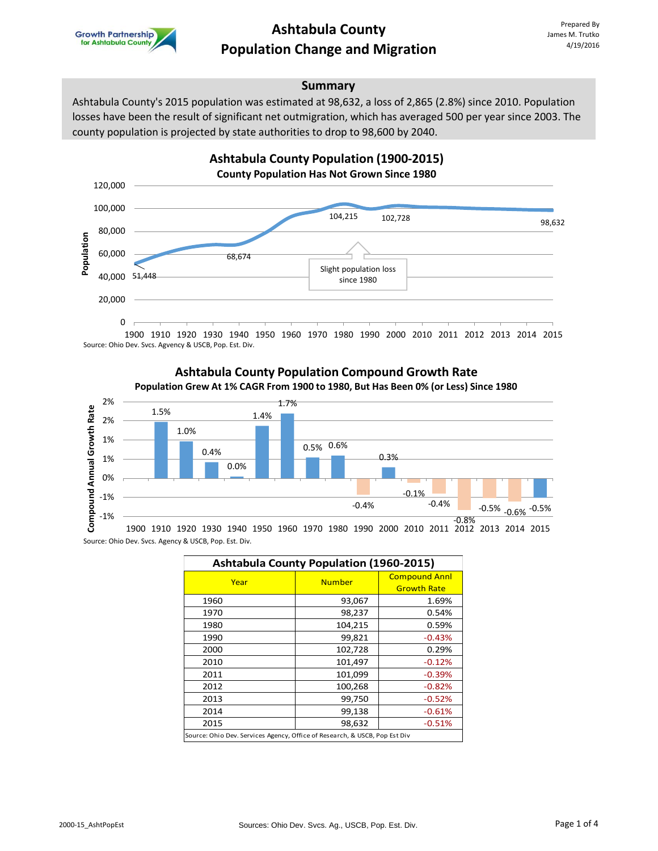

### **Ashtabula County Population Change and Migration**

### **Summary**

Ashtabula County's 2015 population was estimated at 98,632, a loss of 2,865 (2.8%) since 2010. Population losses have been the result of significant net outmigration, which has averaged 500 per year since 2003. The county population is projected by state authorities to drop to 98,600 by 2040.



1900 1910 1920 1930 1940 1950 1960 1970 1980 1990 2000 2010 2011 2012 2013 2014 2015 Source: Ohio Dev. Svcs. Agvency & USCB, Pop. Est. Div.

### **Ashtabula County Population Compound Growth Rate Population Grew At 1% CAGR From 1900 to 1980, But Has Been 0% (or Less) Since 1980**



Source: Ohio Dev. Svcs. Agency & USCB, Pop. Est. Div.

| <b>Ashtabula County Population (1960-2015)</b>                             |               |                      |  |  |
|----------------------------------------------------------------------------|---------------|----------------------|--|--|
| Year                                                                       | <b>Number</b> | <b>Compound Annl</b> |  |  |
|                                                                            |               | <b>Growth Rate</b>   |  |  |
| 1960                                                                       | 93,067        | 1.69%                |  |  |
| 1970                                                                       | 98,237        | 0.54%                |  |  |
| 1980                                                                       | 104,215       | 0.59%                |  |  |
| 1990                                                                       | 99,821        | $-0.43%$             |  |  |
| 2000                                                                       | 102,728       | 0.29%                |  |  |
| 2010                                                                       | 101,497       | $-0.12%$             |  |  |
| 2011                                                                       | 101,099       | $-0.39%$             |  |  |
| 2012                                                                       | 100,268       | $-0.82%$             |  |  |
| 2013                                                                       | 99,750        | $-0.52%$             |  |  |
| 2014                                                                       | 99,138        | $-0.61%$             |  |  |
| 2015                                                                       | 98,632        | $-0.51%$             |  |  |
| Source: Ohio Dev. Services Agency, Office of Research, & USCB, Pop Est Div |               |                      |  |  |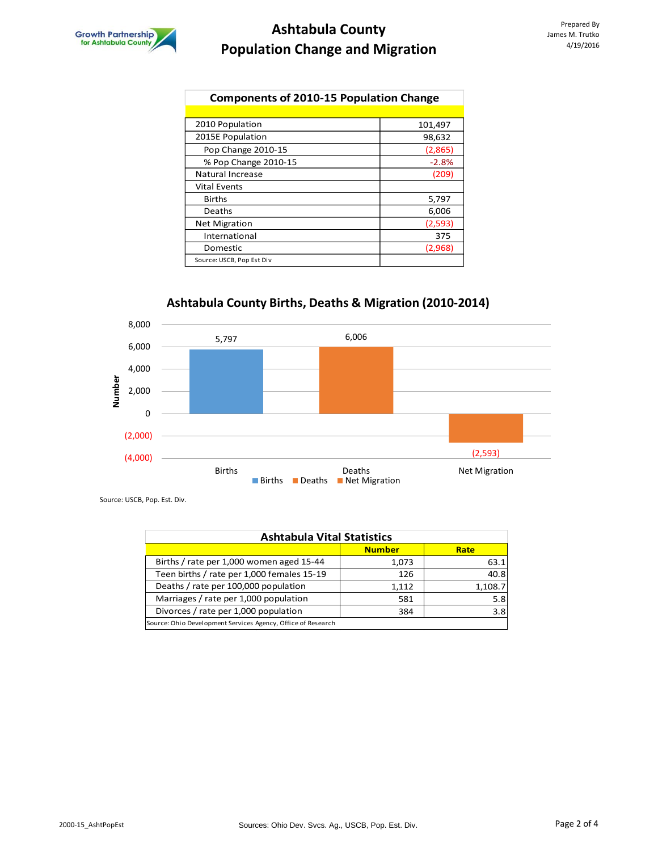## **Ashtabula County Population Change and Migration**

| <b>Components of 2010-15 Population Change</b> |         |  |
|------------------------------------------------|---------|--|
|                                                |         |  |
| 2010 Population                                | 101,497 |  |
| 2015E Population                               | 98,632  |  |
| Pop Change 2010-15                             | (2,865) |  |
| % Pop Change 2010-15                           | $-2.8%$ |  |
| Natural Increase                               | (209)   |  |
| <b>Vital Events</b>                            |         |  |
| <b>Births</b>                                  | 5,797   |  |
| Deaths                                         | 6,006   |  |
| <b>Net Migration</b>                           | (2,593) |  |
| International                                  | 375     |  |
| Domestic                                       | (2,968) |  |
| Source: USCB, Pop Est Div                      |         |  |

# **Ashtabula County Births, Deaths & Migration (2010-2014)**



Source: USCB, Pop. Est. Div.

| <b>Ashtabula Vital Statistics</b>                            |               |         |  |  |
|--------------------------------------------------------------|---------------|---------|--|--|
|                                                              | <b>Number</b> | Rate    |  |  |
| Births / rate per 1,000 women aged 15-44                     | 1,073         | 63.1    |  |  |
| Teen births / rate per 1,000 females 15-19                   | 126           | 40.8    |  |  |
| Deaths / rate per 100,000 population                         | 1.112         | 1,108.7 |  |  |
| Marriages / rate per 1,000 population                        | 581           | 5.8     |  |  |
| Divorces / rate per 1,000 population                         | 384           | 3.8     |  |  |
| Source: Ohio Development Services Agency, Office of Research |               |         |  |  |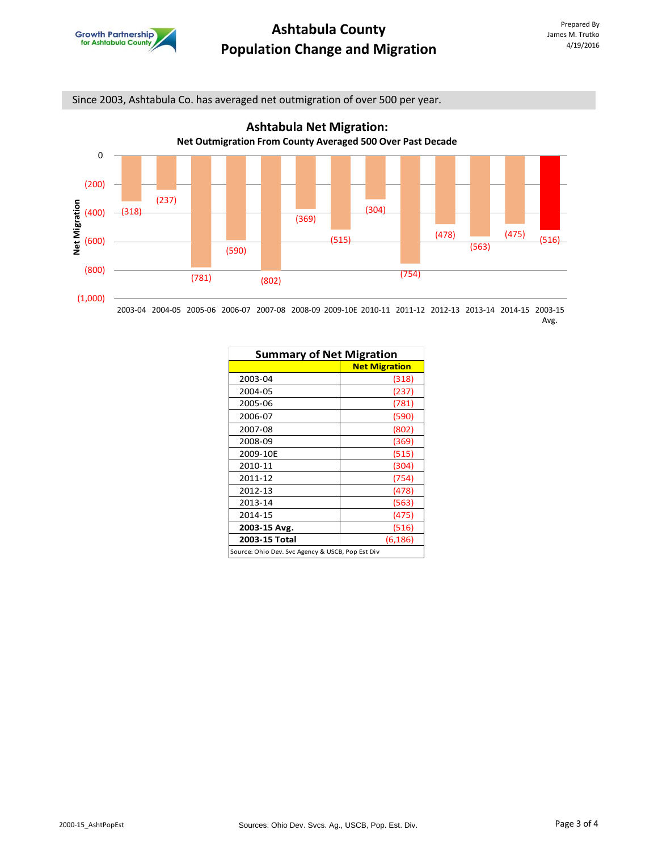

Since 2003, Ashtabula Co. has averaged net outmigration of over 500 per year.



2003-04 2004-05 2005-06 2006-07 2007-08 2008-09 2009-10E 2010-11 2011-12 2012-13 2013-14 2014-15 2003-15 Avg.

| <b>Summary of Net Migration</b>                  |                      |  |
|--------------------------------------------------|----------------------|--|
|                                                  | <b>Net Migration</b> |  |
| 2003-04                                          | (318)                |  |
| 2004-05                                          | (237)                |  |
| 2005-06                                          | (781)                |  |
| 2006-07                                          | (590)                |  |
| 2007-08                                          | (802)                |  |
| 2008-09                                          | (369)                |  |
| 2009-10E                                         | (515)                |  |
| 2010-11                                          | (304)                |  |
| 2011-12                                          | (754)                |  |
| 2012-13                                          | (478)                |  |
| 2013-14                                          | (563)                |  |
| 2014-15                                          | (475)                |  |
| 2003-15 Avg.                                     | (516)                |  |
| 2003-15 Total                                    | (6, 186)             |  |
| Source: Ohio Dev. Svc Agency & USCB, Pop Est Div |                      |  |